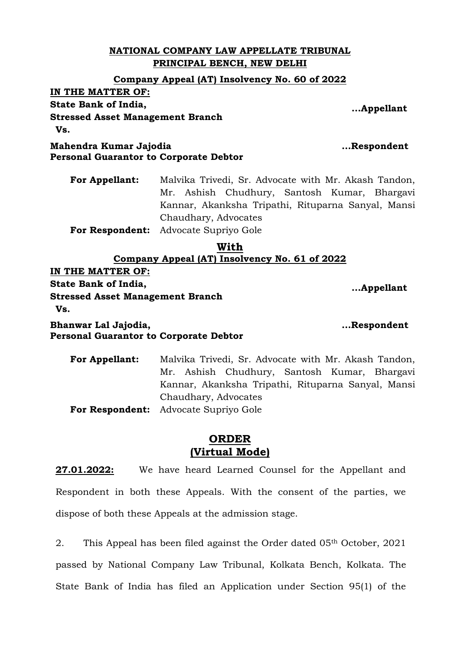### **NATIONAL COMPANY LAW APPELLATE TRIBUNAL PRINCIPAL BENCH, NEW DELHI**

### **Company Appeal (AT) Insolvency No. 60 of 2022**

**IN THE MATTER OF:**

**State Bank of India,**

**Stressed Asset Management Branch Vs.**

**Mahendra Kumar Jajodia Personal Guarantor to Corporate Debtor** 

**For Appellant:** Malvika Trivedi, Sr. Advocate with Mr. Akash Tandon, Mr. Ashish Chudhury, Santosh Kumar, Bhargavi Kannar, Akanksha Tripathi, Rituparna Sanyal, Mansi Chaudhary, Advocates

**For Respondent:** Advocate Supriyo Gole

#### **With Company Appeal (AT) Insolvency No. 61 of 2022**

**IN THE MATTER OF:**

**State Bank of India,**

**Stressed Asset Management Branch Vs.**

**Bhanwar Lal Jajodia, Personal Guarantor to Corporate Debtor**

> **For Appellant:** Malvika Trivedi, Sr. Advocate with Mr. Akash Tandon, Mr. Ashish Chudhury, Santosh Kumar, Bhargavi Kannar, Akanksha Tripathi, Rituparna Sanyal, Mansi Chaudhary, Advocates **For Respondent:** Advocate Supriyo Gole

# **ORDER (Virtual Mode)**

**27.01.2022:** We have heard Learned Counsel for the Appellant and Respondent in both these Appeals. With the consent of the parties, we dispose of both these Appeals at the admission stage.

2. This Appeal has been filed against the Order dated 05th October, 2021 passed by National Company Law Tribunal, Kolkata Bench, Kolkata. The State Bank of India has filed an Application under Section 95(1) of the

 **...Respondent**

 **...Appellant**

 **...Respondent**

 **...Appellant**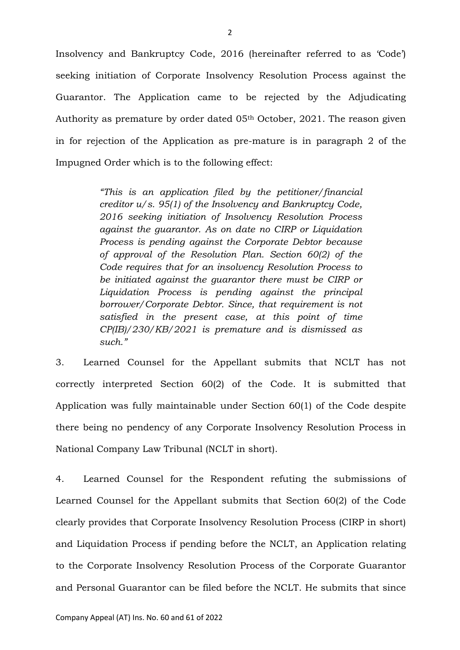Insolvency and Bankruptcy Code, 2016 (hereinafter referred to as 'Code') seeking initiation of Corporate Insolvency Resolution Process against the Guarantor. The Application came to be rejected by the Adjudicating Authority as premature by order dated 05<sup>th</sup> October, 2021. The reason given in for rejection of the Application as pre-mature is in paragraph 2 of the Impugned Order which is to the following effect:

> *"This is an application filed by the petitioner/financial creditor u/s. 95(1) of the Insolvency and Bankruptcy Code, 2016 seeking initiation of Insolvency Resolution Process against the guarantor. As on date no CIRP or Liquidation Process is pending against the Corporate Debtor because of approval of the Resolution Plan. Section 60(2) of the Code requires that for an insolvency Resolution Process to be initiated against the guarantor there must be CIRP or Liquidation Process is pending against the principal borrower/Corporate Debtor. Since, that requirement is not satisfied in the present case, at this point of time CP(IB)/230/KB/2021 is premature and is dismissed as such."*

3. Learned Counsel for the Appellant submits that NCLT has not correctly interpreted Section 60(2) of the Code. It is submitted that Application was fully maintainable under Section 60(1) of the Code despite there being no pendency of any Corporate Insolvency Resolution Process in National Company Law Tribunal (NCLT in short).

4. Learned Counsel for the Respondent refuting the submissions of Learned Counsel for the Appellant submits that Section 60(2) of the Code clearly provides that Corporate Insolvency Resolution Process (CIRP in short) and Liquidation Process if pending before the NCLT, an Application relating to the Corporate Insolvency Resolution Process of the Corporate Guarantor and Personal Guarantor can be filed before the NCLT. He submits that since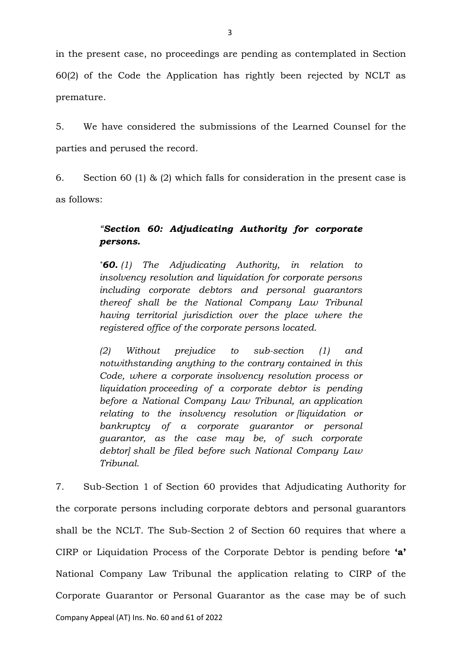in the present case, no proceedings are pending as contemplated in Section 60(2) of the Code the Application has rightly been rejected by NCLT as premature.

5. We have considered the submissions of the Learned Counsel for the parties and perused the record.

6. Section 60 (1) & (2) which falls for consideration in the present case is as follows:

## *"Section 60: Adjudicating Authority for corporate persons.*

*\*60. (1) The Adjudicating Authority, in relation to insolvency resolution and liquidation for corporate persons including corporate debtors and personal guarantors thereof shall be the National Company Law Tribunal having territorial jurisdiction over the place where the registered office of the corporate persons located.*

*(2) Without prejudice to sub-section (1) and notwithstanding anything to the contrary contained in this Code, where a corporate insolvency resolution process or liquidation proceeding of a corporate debtor is pending before a National Company Law Tribunal, an application relating to the insolvency resolution or [liquidation or bankruptcy of a corporate guarantor or personal guarantor, as the case may be, of such corporate debtor] shall be filed before such National Company Law Tribunal.*

7. Sub-Section 1 of Section 60 provides that Adjudicating Authority for the corporate persons including corporate debtors and personal guarantors shall be the NCLT. The Sub-Section 2 of Section 60 requires that where a CIRP or Liquidation Process of the Corporate Debtor is pending before **'a'** National Company Law Tribunal the application relating to CIRP of the Corporate Guarantor or Personal Guarantor as the case may be of such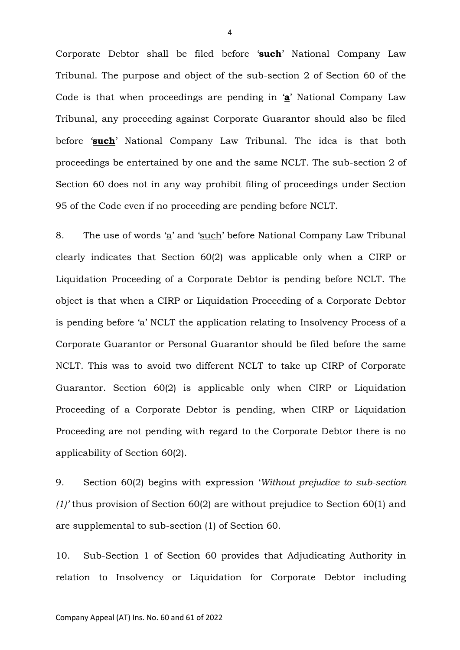Corporate Debtor shall be filed before '**such**' National Company Law Tribunal. The purpose and object of the sub-section 2 of Section 60 of the Code is that when proceedings are pending in '**a**' National Company Law Tribunal, any proceeding against Corporate Guarantor should also be filed before '**such**' National Company Law Tribunal. The idea is that both proceedings be entertained by one and the same NCLT. The sub-section 2 of Section 60 does not in any way prohibit filing of proceedings under Section 95 of the Code even if no proceeding are pending before NCLT.

8. The use of words 'a' and 'such' before National Company Law Tribunal clearly indicates that Section 60(2) was applicable only when a CIRP or Liquidation Proceeding of a Corporate Debtor is pending before NCLT. The object is that when a CIRP or Liquidation Proceeding of a Corporate Debtor is pending before 'a' NCLT the application relating to Insolvency Process of a Corporate Guarantor or Personal Guarantor should be filed before the same NCLT. This was to avoid two different NCLT to take up CIRP of Corporate Guarantor. Section 60(2) is applicable only when CIRP or Liquidation Proceeding of a Corporate Debtor is pending, when CIRP or Liquidation Proceeding are not pending with regard to the Corporate Debtor there is no applicability of Section 60(2).

9. Section 60(2) begins with expression '*Without prejudice to sub-section (1)'* thus provision of Section 60(2) are without prejudice to Section 60(1) and are supplemental to sub-section (1) of Section 60.

10. Sub-Section 1 of Section 60 provides that Adjudicating Authority in relation to Insolvency or Liquidation for Corporate Debtor including